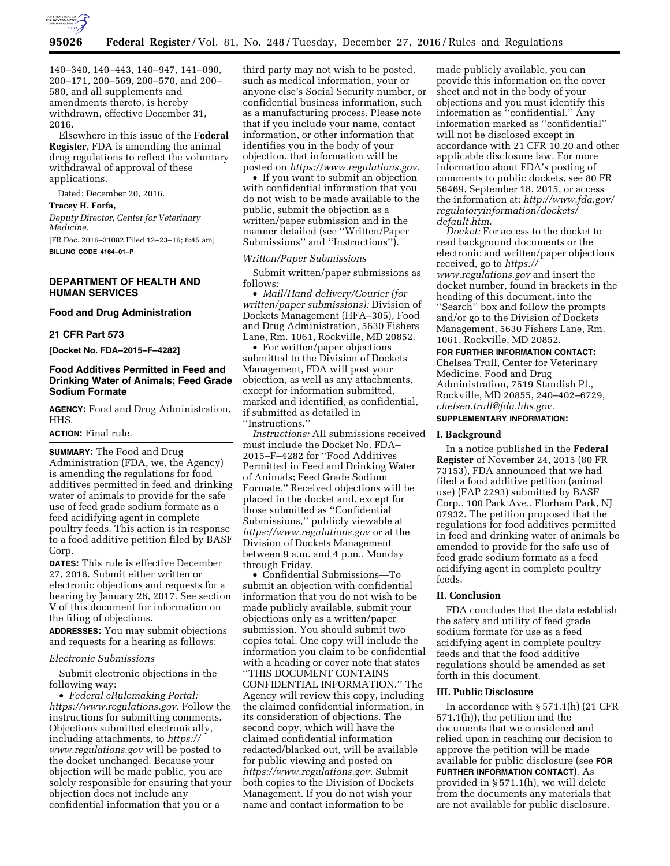

140–340, 140–443, 140–947, 141–090, 200–171, 200–569, 200–570, and 200– 580, and all supplements and amendments thereto, is hereby withdrawn, effective December 31, 2016.

Elsewhere in this issue of the **Federal Register**, FDA is amending the animal drug regulations to reflect the voluntary withdrawal of approval of these applications.

Dated: December 20, 2016.

## **Tracey H. Forfa,**

*Deputy Director, Center for Veterinary Medicine.* 

[FR Doc. 2016–31082 Filed 12–23–16; 8:45 am] **BILLING CODE 4164–01–P** 

# **DEPARTMENT OF HEALTH AND HUMAN SERVICES**

# **Food and Drug Administration**

### **21 CFR Part 573**

**[Docket No. FDA–2015–F–4282]** 

# **Food Additives Permitted in Feed and Drinking Water of Animals; Feed Grade Sodium Formate**

**AGENCY:** Food and Drug Administration, HHS.

## **ACTION:** Final rule.

**SUMMARY:** The Food and Drug Administration (FDA, we, the Agency) is amending the regulations for food additives permitted in feed and drinking water of animals to provide for the safe use of feed grade sodium formate as a feed acidifying agent in complete poultry feeds. This action is in response to a food additive petition filed by BASF Corp.

**DATES:** This rule is effective December 27, 2016. Submit either written or electronic objections and requests for a hearing by January 26, 2017. See section V of this document for information on the filing of objections.

**ADDRESSES:** You may submit objections and requests for a hearing as follows:

### *Electronic Submissions*

Submit electronic objections in the following way:

• *Federal eRulemaking Portal: [https://www.regulations.gov.](https://www.regulations.gov)* Follow the instructions for submitting comments. Objections submitted electronically, including attachments, to *[https://](https://www.regulations.gov) [www.regulations.gov](https://www.regulations.gov)* will be posted to the docket unchanged. Because your objection will be made public, you are solely responsible for ensuring that your objection does not include any confidential information that you or a

third party may not wish to be posted, such as medical information, your or anyone else's Social Security number, or confidential business information, such as a manufacturing process. Please note that if you include your name, contact information, or other information that identifies you in the body of your objection, that information will be posted on *[https://www.regulations.gov.](https://www.regulations.gov)* 

• If you want to submit an objection with confidential information that you do not wish to be made available to the public, submit the objection as a written/paper submission and in the manner detailed (see ''Written/Paper Submissions'' and ''Instructions'').

### *Written/Paper Submissions*

Submit written/paper submissions as follows:

• *Mail/Hand delivery/Courier (for written/paper submissions):* Division of Dockets Management (HFA–305), Food and Drug Administration, 5630 Fishers Lane, Rm. 1061, Rockville, MD 20852.

• For written/paper objections submitted to the Division of Dockets Management, FDA will post your objection, as well as any attachments, except for information submitted, marked and identified, as confidential, if submitted as detailed in ''Instructions.''

*Instructions:* All submissions received must include the Docket No. FDA– 2015–F–4282 for ''Food Additives Permitted in Feed and Drinking Water of Animals; Feed Grade Sodium Formate.'' Received objections will be placed in the docket and, except for those submitted as ''Confidential Submissions,'' publicly viewable at *<https://www.regulations.gov>* or at the Division of Dockets Management between 9 a.m. and 4 p.m., Monday through Friday.

• Confidential Submissions—To submit an objection with confidential information that you do not wish to be made publicly available, submit your objections only as a written/paper submission. You should submit two copies total. One copy will include the information you claim to be confidential with a heading or cover note that states ''THIS DOCUMENT CONTAINS CONFIDENTIAL INFORMATION.'' The Agency will review this copy, including the claimed confidential information, in its consideration of objections. The second copy, which will have the claimed confidential information redacted/blacked out, will be available for public viewing and posted on *[https://www.regulations.gov.](https://www.regulations.gov)* Submit both copies to the Division of Dockets Management. If you do not wish your name and contact information to be

made publicly available, you can provide this information on the cover sheet and not in the body of your objections and you must identify this information as ''confidential.'' Any information marked as ''confidential'' will not be disclosed except in accordance with 21 CFR 10.20 and other applicable disclosure law. For more information about FDA's posting of comments to public dockets, see 80 FR 56469, September 18, 2015, or access the information at: *[http://www.fda.gov/](http://www.fda.gov/regulatoryinformation/dockets/default.htm)  [regulatoryinformation/dockets/](http://www.fda.gov/regulatoryinformation/dockets/default.htm)  [default.htm.](http://www.fda.gov/regulatoryinformation/dockets/default.htm)* 

*Docket:* For access to the docket to read background documents or the electronic and written/paper objections received, go to *[https://](https://www.regulations.gov) [www.regulations.gov](https://www.regulations.gov)* and insert the docket number, found in brackets in the heading of this document, into the ''Search'' box and follow the prompts and/or go to the Division of Dockets Management, 5630 Fishers Lane, Rm. 1061, Rockville, MD 20852.

#### **FOR FURTHER INFORMATION CONTACT:**

Chelsea Trull, Center for Veterinary Medicine, Food and Drug Administration, 7519 Standish Pl., Rockville, MD 20855, 240–402–6729, *[chelsea.trull@fda.hhs.gov.](mailto:chelsea.trull@fda.hhs.gov)* 

# **SUPPLEMENTARY INFORMATION:**

#### **I. Background**

In a notice published in the **Federal Register** of November 24, 2015 (80 FR 73153), FDA announced that we had filed a food additive petition (animal use) (FAP 2293) submitted by BASF Corp., 100 Park Ave., Florham Park, NJ 07932. The petition proposed that the regulations for food additives permitted in feed and drinking water of animals be amended to provide for the safe use of feed grade sodium formate as a feed acidifying agent in complete poultry feeds.

# **II. Conclusion**

FDA concludes that the data establish the safety and utility of feed grade sodium formate for use as a feed acidifying agent in complete poultry feeds and that the food additive regulations should be amended as set forth in this document.

#### **III. Public Disclosure**

In accordance with § 571.1(h) (21 CFR 571.1(h)), the petition and the documents that we considered and relied upon in reaching our decision to approve the petition will be made available for public disclosure (see **FOR FURTHER INFORMATION CONTACT**). As provided in § 571.1(h), we will delete from the documents any materials that are not available for public disclosure.